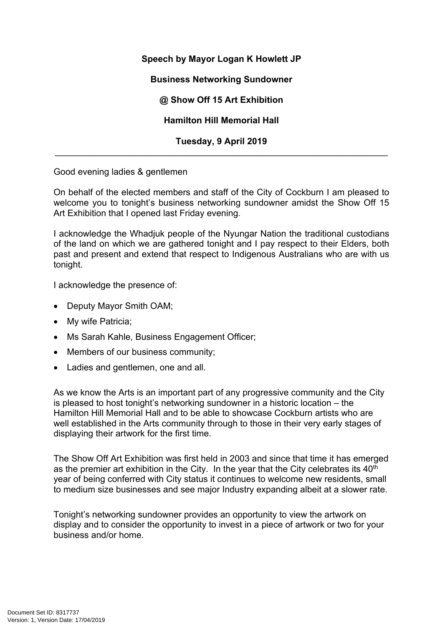## **Speech by Mayor Logan K Howlett JP**

**Business Networking Sundowner** 

**@ Show Off 15 Art Exhibition**

**Hamilton Hill Memorial Hall**

**Tuesday, 9 April 2019** \_\_\_\_\_\_\_\_\_\_\_\_\_\_\_\_\_\_\_\_\_\_\_\_\_\_\_\_\_\_\_\_\_\_\_\_\_\_\_\_\_\_\_\_\_\_\_\_\_\_\_\_\_\_\_\_\_\_\_\_\_\_\_\_\_\_\_

Good evening ladies & gentlemen

On behalf of the elected members and staff of the City of Cockburn I am pleased to welcome you to tonight's business networking sundowner amidst the Show Off 15 Art Exhibition that I opened last Friday evening.

I acknowledge the Whadjuk people of the Nyungar Nation the traditional custodians of the land on which we are gathered tonight and I pay respect to their Elders, both past and present and extend that respect to Indigenous Australians who are with us tonight.

I acknowledge the presence of:

- Deputy Mayor Smith OAM;
- My wife Patricia;
- Ms Sarah Kahle, Business Engagement Officer;
- Members of our business community;
- Ladies and gentlemen, one and all.

As we know the Arts is an important part of any progressive community and the City is pleased to host tonight's networking sundowner in a historic location – the Hamilton Hill Memorial Hall and to be able to showcase Cockburn artists who are well established in the Arts community through to those in their very early stages of displaying their artwork for the first time.

The Show Off Art Exhibition was first held in 2003 and since that time it has emerged as the premier art exhibition in the City. In the year that the City celebrates its 40<sup>th</sup> year of being conferred with City status it continues to welcome new residents, small to medium size businesses and see major Industry expanding albeit at a slower rate.

Tonight's networking sundowner provides an opportunity to view the artwork on display and to consider the opportunity to invest in a piece of artwork or two for your business and/or home.